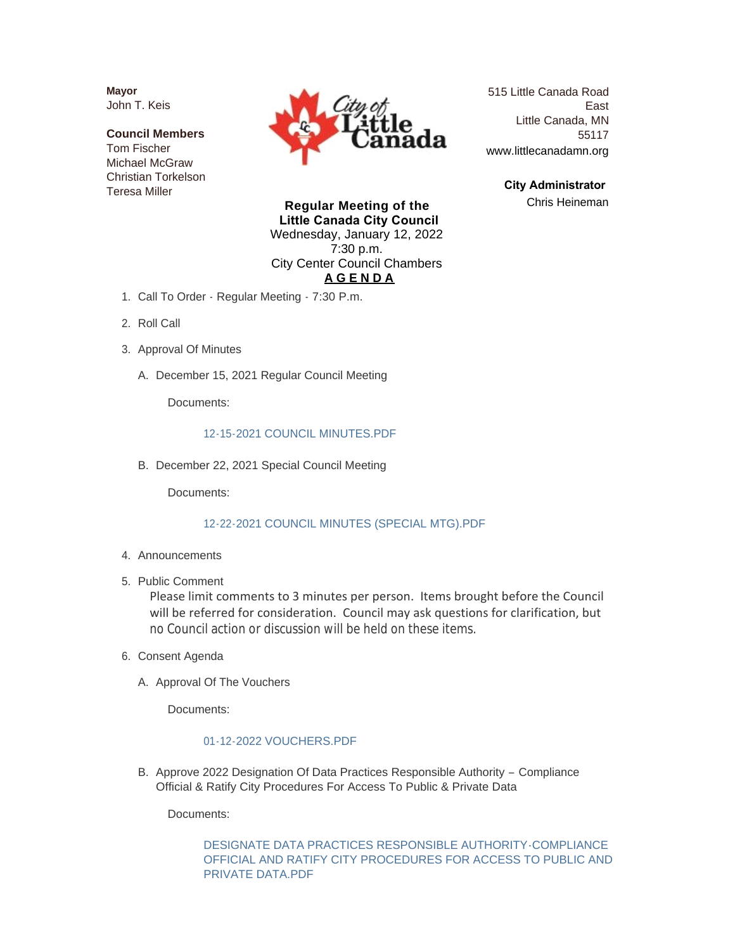**Mayor** John T. Keis

**Council Members** Tom Fischer Michael McGraw Christian Torkelson Teresa Miller



515 Little Canada Road East Little Canada, MN 55117 www.littlecanadamn.org

> **City Administrator**  Chris Heineman

**Regular Meeting of the Little Canada City Council** Wednesday, January 12, 2022 7:30 p.m. City Center Council Chambers **A G E N D A**

- 1. Call To Order Regular Meeting 7:30 P.m.
- 2. Roll Call
- 3. Approval Of Minutes
	- A. December 15, 2021 Regular Council Meeting

Documents:

#### [12-15-2021 COUNCIL MINUTES.PDF](http://www.littlecanadamn.org/AgendaCenter/ViewFile/Item/3665?fileID=3434)

B. December 22, 2021 Special Council Meeting

Documents:

#### [12-22-2021 COUNCIL MINUTES \(SPECIAL MTG\).PDF](http://www.littlecanadamn.org/AgendaCenter/ViewFile/Item/3666?fileID=3454)

- 4. Announcements
- 5. Public Comment

Please limit comments to 3 minutes per person. Items brought before the Council will be referred for consideration. Council may ask questions for clarification, but no Council action or discussion will be held on these items.

- 6. Consent Agenda
	- A. Approval Of The Vouchers

Documents:

## [01-12-2022 VOUCHERS.PDF](http://www.littlecanadamn.org/AgendaCenter/ViewFile/Item/3657?fileID=3464)

B. Approve 2022 Designation Of Data Practices Responsible Authority - Compliance Official & Ratify City Procedures For Access To Public & Private Data

Documents:

DESIGNATE DATA PRACTICES RESPONSIBLE AUTHORITY-COMPLIANCE [OFFICIAL AND RATIFY CITY PROCEDURES FOR ACCESS TO PUBLIC AND](http://www.littlecanadamn.org/AgendaCenter/ViewFile/Item/3667?fileID=3410)  PRIVATE DATA.PDF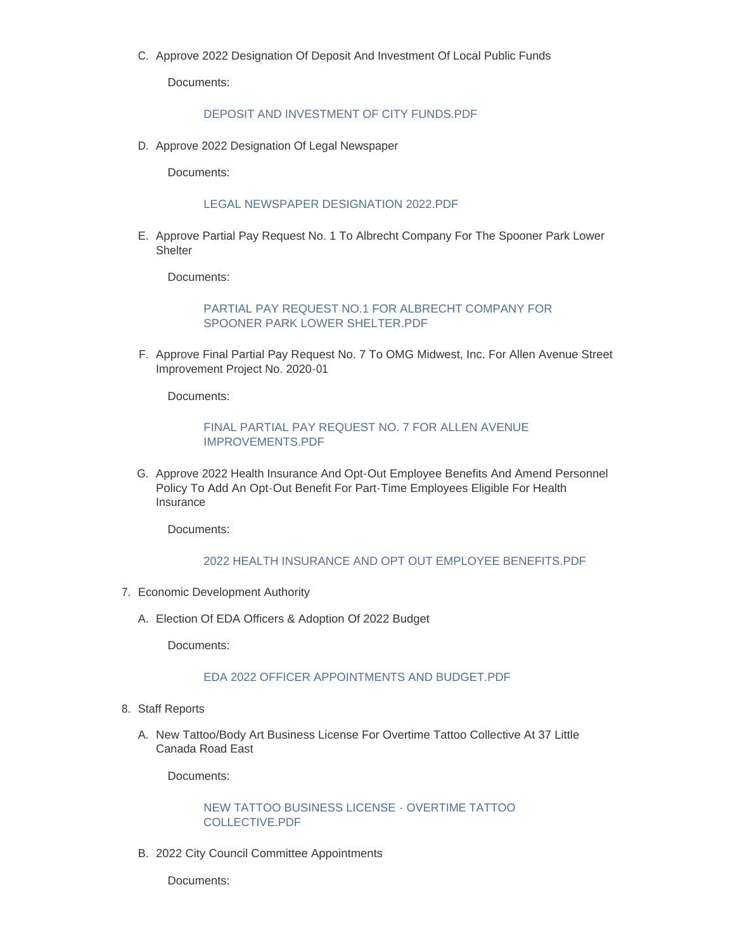C. Approve 2022 Designation Of Deposit And Investment Of Local Public Funds

Documents:

#### [DEPOSIT AND INVESTMENT OF CITY FUNDS.PDF](http://www.littlecanadamn.org/AgendaCenter/ViewFile/Item/3668?fileID=3411)

D. Approve 2022 Designation Of Legal Newspaper

Documents:

#### [LEGAL NEWSPAPER DESIGNATION 2022.PDF](http://www.littlecanadamn.org/AgendaCenter/ViewFile/Item/3670?fileID=3413)

E. Approve Partial Pay Request No. 1 To Albrecht Company For The Spooner Park Lower **Shelter** 

Documents:

#### PARTIAL PAY REQUEST NO.1 FOR ALBRECHT COMPANY FOR SPOONER PARK LOWER SHELTER.PDF

F. Approve Final Partial Pay Request No. 7 To OMG Midwest, Inc. For Allen Avenue Street Improvement Project No. 2020-01

Documents:

#### [FINAL PARTIAL PAY REQUEST NO. 7 FOR ALLEN AVENUE](http://www.littlecanadamn.org/AgendaCenter/ViewFile/Item/3672?fileID=3415)  IMPROVEMENTS.PDF

G. Approve 2022 Health Insurance And Opt-Out Employee Benefits And Amend Personnel Policy To Add An Opt-Out Benefit For Part-Time Employees Eligible For Health Insurance

Documents:

### [2022 HEALTH INSURANCE AND OPT OUT EMPLOYEE BENEFITS.PDF](http://www.littlecanadamn.org/AgendaCenter/ViewFile/Item/3669?fileID=3451)

- 7. Economic Development Authority
	- A. Election Of EDA Officers & Adoption Of 2022 Budget

Documents:

# [EDA 2022 OFFICER APPOINTMENTS AND BUDGET.PDF](http://www.littlecanadamn.org/AgendaCenter/ViewFile/Item/3673?fileID=3416)

- 8. Staff Reports
	- A. New Tattoo/Body Art Business License For Overtime Tattoo Collective At 37 Little Canada Road East

Documents:

[NEW TATTOO BUSINESS LICENSE - OVERTIME TATTOO](http://www.littlecanadamn.org/AgendaCenter/ViewFile/Item/3674?fileID=3417)  COLLECTIVE.PDF

2022 City Council Committee Appointments B.

Documents: